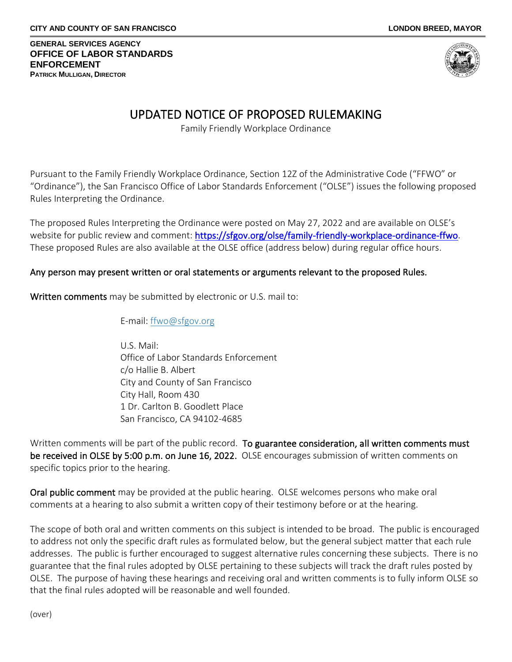**GENERAL SERVICES AGENCY OFFICE OF LABOR STANDARDS ENFORCEMENT PATRICK MULLIGAN, DIRECTOR**



# UPDATED NOTICE OF PROPOSED RULEMAKING

Family Friendly Workplace Ordinance

Pursuant to the Family Friendly Workplace Ordinance, Section 12Z of the Administrative Code ("FFWO" or "Ordinance"), the San Francisco Office of Labor Standards Enforcement ("OLSE") issues the following proposed Rules Interpreting the Ordinance.

The proposed Rules Interpreting the Ordinance were posted on May 27, 2022 and are available on OLSE's website for public review and comment: [https://sfgov.org/olse/family-friendly-workplace-ordinance-ffwo.](https://sfgov.org/olse/family-friendly-workplace-ordinance-ffwo) These proposed Rules are also available at the OLSE office (address below) during regular office hours.

# Any person may present written or oral statements or arguments relevant to the proposed Rules.

Written comments may be submitted by electronic or U.S. mail to:

E-mail: [ffwo@sfgov.org](mailto:FFWO@sfgov.org)

U.S. Mail: Office of Labor Standards Enforcement c/o Hallie B. Albert City and County of San Francisco City Hall, Room 430 1 Dr. Carlton B. Goodlett Place San Francisco, CA 94102-4685

Written comments will be part of the public record. To guarantee consideration, all written comments must be received in OLSE by 5:00 p.m. on June 16, 2022. OLSE encourages submission of written comments on specific topics prior to the hearing.

Oral public comment may be provided at the public hearing. OLSE welcomes persons who make oral comments at a hearing to also submit a written copy of their testimony before or at the hearing.

The scope of both oral and written comments on this subject is intended to be broad. The public is encouraged to address not only the specific draft rules as formulated below, but the general subject matter that each rule addresses. The public is further encouraged to suggest alternative rules concerning these subjects. There is no guarantee that the final rules adopted by OLSE pertaining to these subjects will track the draft rules posted by OLSE. The purpose of having these hearings and receiving oral and written comments is to fully inform OLSE so that the final rules adopted will be reasonable and well founded.

(over)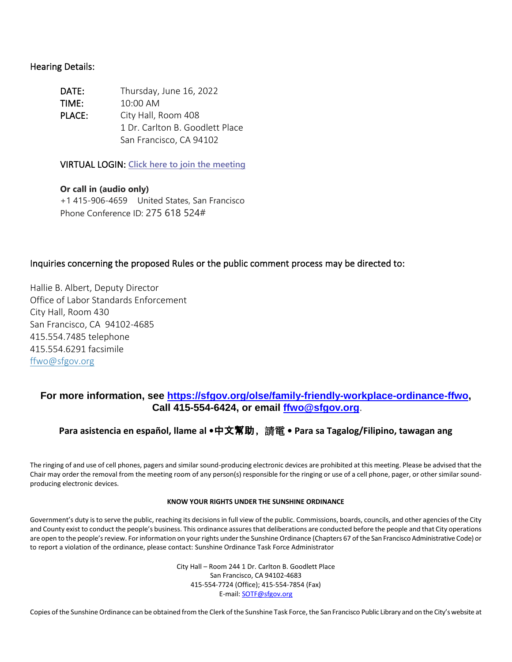### Hearing Details:

| DATE:  | Thursday, June 16, 2022         |
|--------|---------------------------------|
| TIME:  | $10:00$ AM                      |
| PLACE: | City Hall, Room 408             |
|        | 1 Dr. Carlton B. Goodlett Place |
|        | San Francisco, CA 94102         |

VIRTUAL LOGIN: **[Click here to join the meeting](https://teams.microsoft.com/l/meetup-join/19%3ameeting_Mzc0MzdkNDUtMzc3Yi00ODRlLTlhNGEtZDBkNzZhMTg5ZmY3%40thread.v2/0?context=%7b%22Tid%22%3a%2222d5c2cf-ce3e-443d-9a7f-dfcc0231f73f%22%2c%22Oid%22%3a%2268f8a5f3-d244-4f66-9e14-ad8df5e0c97c%22%7d)**

**Or call in (audio only)** +1 415-906-4659 United States, San Francisco Phone Conference ID: 275 618 524#

### Inquiries concerning the proposed Rules or the public comment process may be directed to:

Hallie B. Albert, Deputy Director Office of Labor Standards Enforcement City Hall, Room 430 San Francisco, CA 94102-4685 415.554.7485 telephone 415.554.6291 facsimile [ffwo@sfgov.org](mailto:FFWO@sfgov.org)

## **For more information, see [https://sfgov.org/olse/family-friendly-workplace-ordinance-ffwo,](https://sfgov.org/olse/family-friendly-workplace-ordinance-ffwo) Call 415-554-6424, or email [ffwo@sfgov.org](mailto:ffwo@sfgov.org)**.

## **Para asistencia en español, llame al •**中文幫助﹐請電 **• Para sa Tagalog/Filipino, tawagan ang**

The ringing of and use of cell phones, pagers and similar sound-producing electronic devices are prohibited at this meeting. Please be advised that the Chair may order the removal from the meeting room of any person(s) responsible for the ringing or use of a cell phone, pager, or other similar soundproducing electronic devices.

### **KNOW YOUR RIGHTS UNDER THE SUNSHINE ORDINANCE**

Government's duty is to serve the public, reaching its decisions in full view of the public. Commissions, boards, councils, and other agencies of the City and County exist to conduct the people's business. This ordinance assures that deliberations are conducted before the people and that City operations are open to the people's review. For information on your rights under the Sunshine Ordinance (Chapters 67 of the San Francisco Administrative Code) or to report a violation of the ordinance, please contact: Sunshine Ordinance Task Force Administrator

> City Hall – Room 244 1 Dr. Carlton B. Goodlett Place San Francisco, CA 94102-4683 415-554-7724 (Office); 415-554-7854 (Fax) E-mail[: SOTF@sfgov.org](mailto:SOTF@sfgov.org)

Copies of the Sunshine Ordinance can be obtained from the Clerk of the Sunshine Task Force, the San Francisco Public Library and on the City's website at